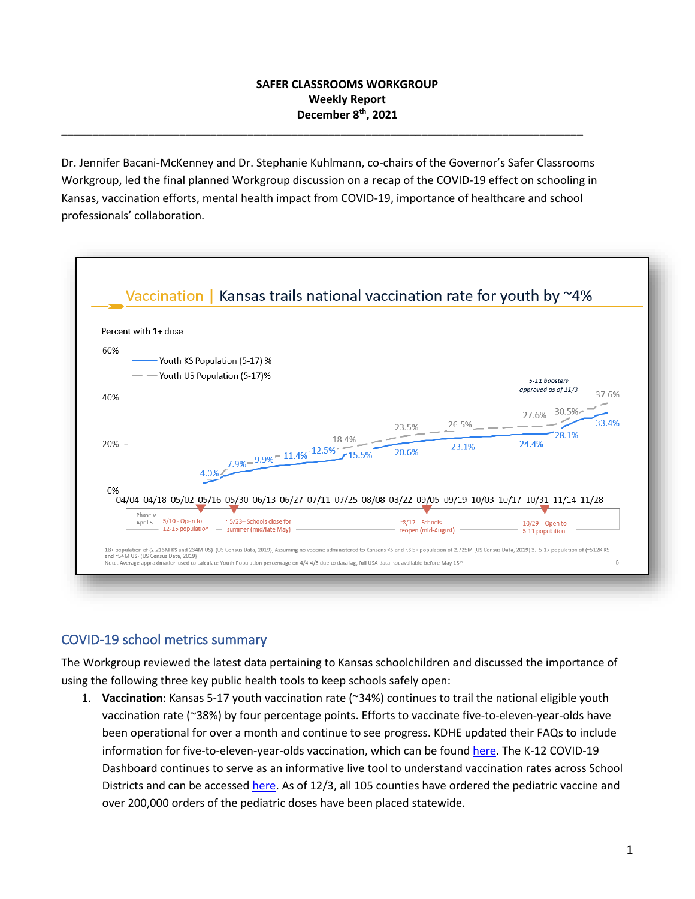### **SAFER CLASSROOMS WORKGROUP Weekly Report December 8 th , 2021**

Dr. Jennifer Bacani-McKenney and Dr. Stephanie Kuhlmann, co-chairs of the Governor's Safer Classrooms Workgroup, led the final planned Workgroup discussion on a recap of the COVID-19 effect on schooling in Kansas, vaccination efforts, mental health impact from COVID-19, importance of healthcare and school professionals' collaboration.

**\_\_\_\_\_\_\_\_\_\_\_\_\_\_\_\_\_\_\_\_\_\_\_\_\_\_\_\_\_\_\_\_\_\_\_\_\_\_\_\_\_\_\_\_\_\_\_\_\_\_\_\_\_\_\_\_\_\_\_\_\_\_\_\_\_\_\_\_\_\_\_\_\_\_\_\_\_\_\_\_\_\_\_\_**



# COVID-19 school metrics summary

The Workgroup reviewed the latest data pertaining to Kansas schoolchildren and discussed the importance of using the following three key public health tools to keep schools safely open:

1. **Vaccination**: Kansas 5-17 youth vaccination rate (~34%) continues to trail the national eligible youth vaccination rate (~38%) by four percentage points. Efforts to vaccinate five-to-eleven-year-olds have been operational for over a month and continue to see progress. KDHE updated their FAQs to include information for five-to-eleven-year-olds vaccination, which can be foun[d here.](https://www.kansasvaccine.gov/faq.aspx) The K-12 COVID-19 Dashboard continues to serve as an informative live tool to understand vaccination rates across School Districts and can be accessed [here.](https://kshealthdata.kdhe.ks.gov/t/BEPHI_COVID-19/views/COVID-19SchoolDistrictDashboard/DistrictVaccineMap?%3AisGuestRedirectFromVizportal=y&%3Aembed=y) As of 12/3, all 105 counties have ordered the pediatric vaccine and over 200,000 orders of the pediatric doses have been placed statewide.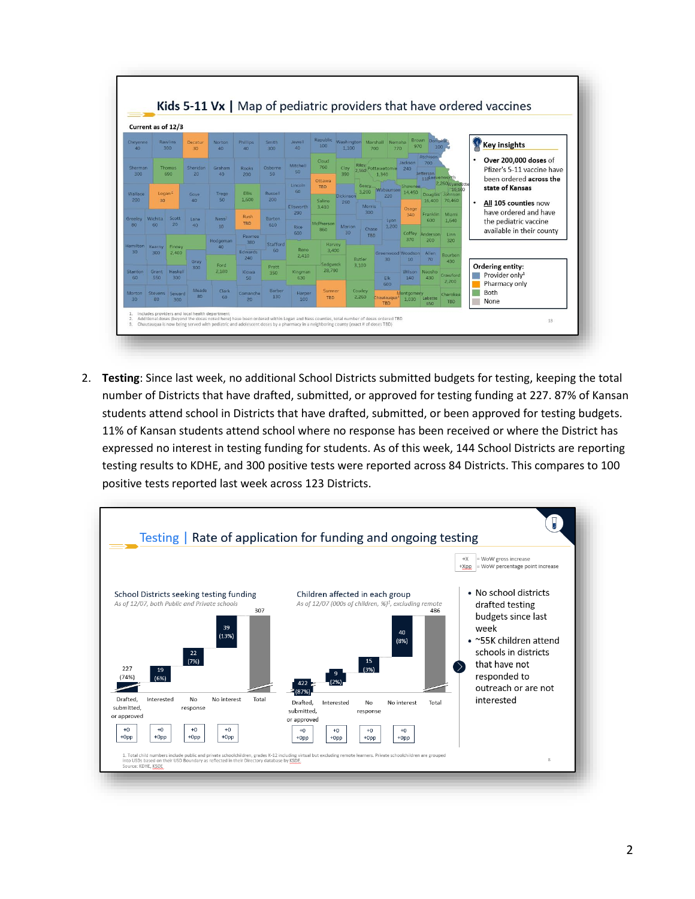

2. **Testing**: Since last week, no additional School Districts submitted budgets for testing, keeping the total number of Districts that have drafted, submitted, or approved for testing funding at 227. 87% of Kansan students attend school in Districts that have drafted, submitted, or been approved for testing budgets. 11% of Kansan students attend school where no response has been received or where the District has expressed no interest in testing funding for students. As of this week, 144 School Districts are reporting testing results to KDHE, and 300 positive tests were reported across 84 Districts. This compares to 100 positive tests reported last week across 123 Districts.

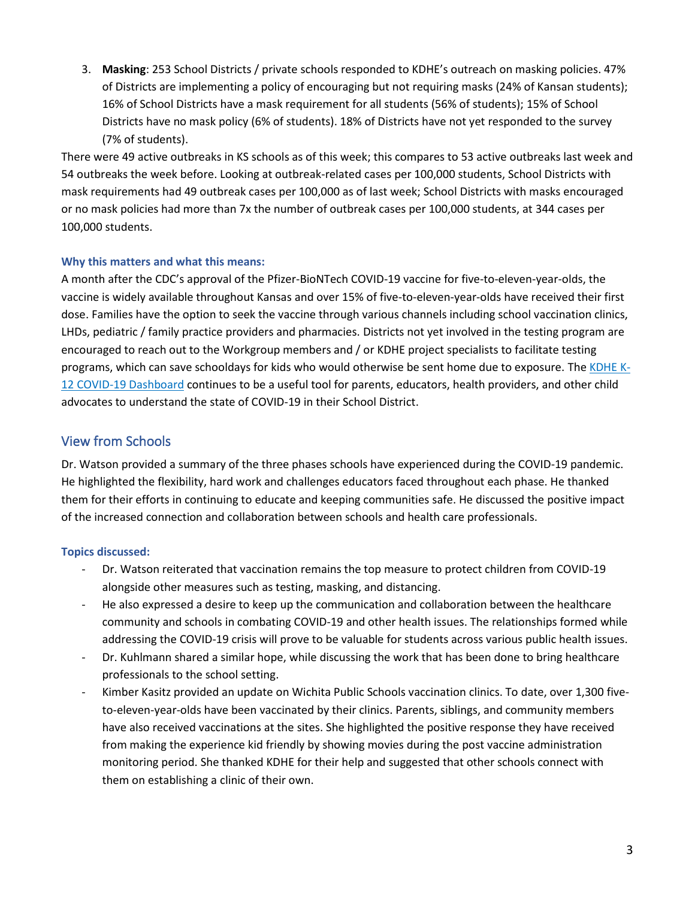3. **Masking**: 253 School Districts / private schools responded to KDHE's outreach on masking policies. 47% of Districts are implementing a policy of encouraging but not requiring masks (24% of Kansan students); 16% of School Districts have a mask requirement for all students (56% of students); 15% of School Districts have no mask policy (6% of students). 18% of Districts have not yet responded to the survey (7% of students).

There were 49 active outbreaks in KS schools as of this week; this compares to 53 active outbreaks last week and 54 outbreaks the week before. Looking at outbreak-related cases per 100,000 students, School Districts with mask requirements had 49 outbreak cases per 100,000 as of last week; School Districts with masks encouraged or no mask policies had more than 7x the number of outbreak cases per 100,000 students, at 344 cases per 100,000 students.

#### **Why this matters and what this means:**

A month after the CDC's approval of the Pfizer-BioNTech COVID-19 vaccine for five-to-eleven-year-olds, the vaccine is widely available throughout Kansas and over 15% of five-to-eleven-year-olds have received their first dose. Families have the option to seek the vaccine through various channels including school vaccination clinics, LHDs, pediatric / family practice providers and pharmacies. Districts not yet involved in the testing program are encouraged to reach out to the Workgroup members and / or KDHE project specialists to facilitate testing programs, which can save schooldays for kids who would otherwise be sent home due to exposure. The [KDHE K-](https://kshealthdata.kdhe.ks.gov/t/BEPHI_COVID-19/views/COVID-19SchoolDistrictDashboard/Home?%3AisGuestRedirectFromVizportal=y&%3Aembed=y)[12 COVID-19 Dashboard](https://kshealthdata.kdhe.ks.gov/t/BEPHI_COVID-19/views/COVID-19SchoolDistrictDashboard/Home?%3AisGuestRedirectFromVizportal=y&%3Aembed=y) continues to be a useful tool for parents, educators, health providers, and other child advocates to understand the state of COVID-19 in their School District.

### View from Schools

Dr. Watson provided a summary of the three phases schools have experienced during the COVID-19 pandemic. He highlighted the flexibility, hard work and challenges educators faced throughout each phase. He thanked them for their efforts in continuing to educate and keeping communities safe. He discussed the positive impact of the increased connection and collaboration between schools and health care professionals.

### **Topics discussed:**

- Dr. Watson reiterated that vaccination remains the top measure to protect children from COVID-19 alongside other measures such as testing, masking, and distancing.
- He also expressed a desire to keep up the communication and collaboration between the healthcare community and schools in combating COVID-19 and other health issues. The relationships formed while addressing the COVID-19 crisis will prove to be valuable for students across various public health issues.
- Dr. Kuhlmann shared a similar hope, while discussing the work that has been done to bring healthcare professionals to the school setting.
- Kimber Kasitz provided an update on Wichita Public Schools vaccination clinics. To date, over 1,300 fiveto-eleven-year-olds have been vaccinated by their clinics. Parents, siblings, and community members have also received vaccinations at the sites. She highlighted the positive response they have received from making the experience kid friendly by showing movies during the post vaccine administration monitoring period. She thanked KDHE for their help and suggested that other schools connect with them on establishing a clinic of their own.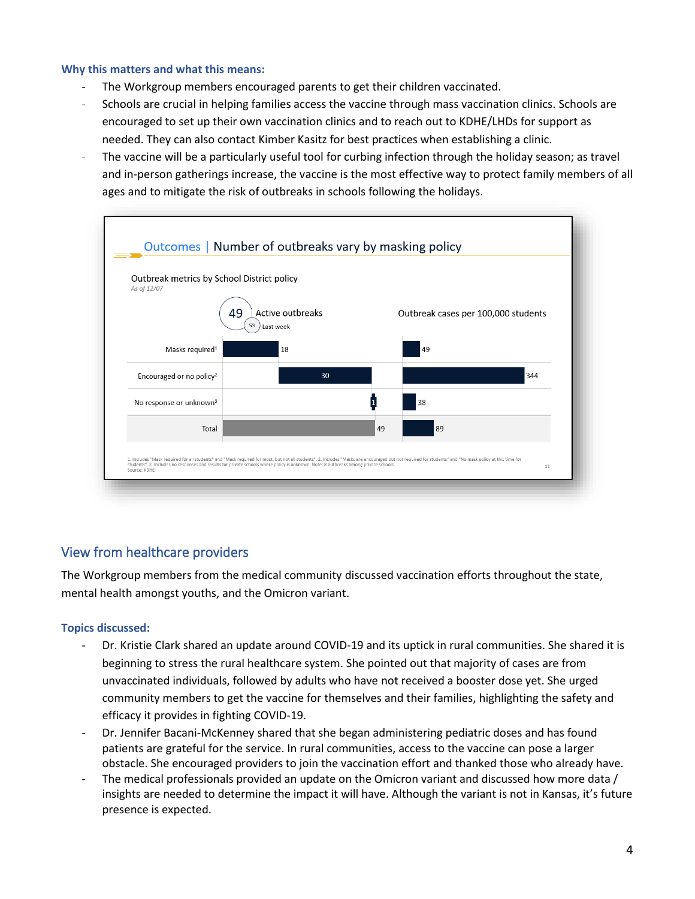#### **Why this matters and what this means:**

- The Workgroup members encouraged parents to get their children vaccinated.
- Schools are crucial in helping families access the vaccine through mass vaccination clinics. Schools are encouraged to set up their own vaccination clinics and to reach out to KDHE/LHDs for support as needed. They can also contact Kimber Kasitz for best practices when establishing a clinic.
- The vaccine will be a particularly useful tool for curbing infection through the holiday season; as travel and in-person gatherings increase, the vaccine is the most effective way to protect family members of all ages and to mitigate the risk of outbreaks in schools following the holidays.



# View from healthcare providers

The Workgroup members from the medical community discussed vaccination efforts throughout the state, mental health amongst youths, and the Omicron variant.

### **Topics discussed:**

- Dr. Kristie Clark shared an update around COVID-19 and its uptick in rural communities. She shared it is beginning to stress the rural healthcare system. She pointed out that majority of cases are from unvaccinated individuals, followed by adults who have not received a booster dose yet. She urged community members to get the vaccine for themselves and their families, highlighting the safety and efficacy it provides in fighting COVID-19.
- Dr. Jennifer Bacani-McKenney shared that she began administering pediatric doses and has found patients are grateful for the service. In rural communities, access to the vaccine can pose a larger obstacle. She encouraged providers to join the vaccination effort and thanked those who already have.
- The medical professionals provided an update on the Omicron variant and discussed how more data / insights are needed to determine the impact it will have. Although the variant is not in Kansas, it's future presence is expected.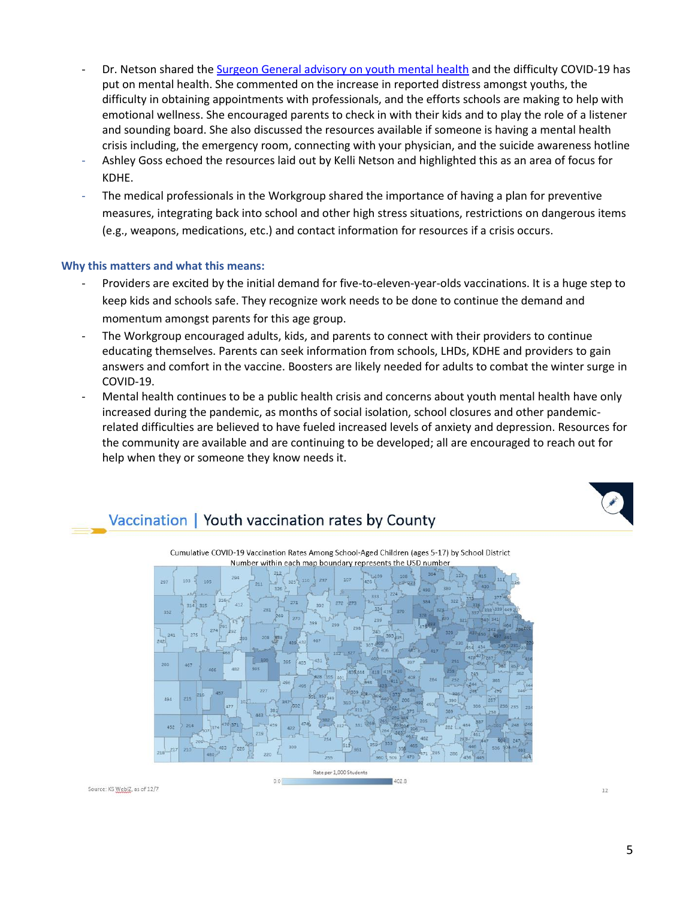- Dr. Netson shared the [Surgeon General advisory on youth mental health](https://www.usnews.com/news/health-news/articles/2021-12-07/surgeon-general-issues-advisory-on-youth-mental-health) and the difficulty COVID-19 has put on mental health. She commented on the increase in reported distress amongst youths, the difficulty in obtaining appointments with professionals, and the efforts schools are making to help with emotional wellness. She encouraged parents to check in with their kids and to play the role of a listener and sounding board. She also discussed the resources available if someone is having a mental health crisis including, the emergency room, connecting with your physician, and the suicide awareness hotline
- Ashley Goss echoed the resources laid out by Kelli Netson and highlighted this as an area of focus for KDHE.
- The medical professionals in the Workgroup shared the importance of having a plan for preventive measures, integrating back into school and other high stress situations, restrictions on dangerous items (e.g., weapons, medications, etc.) and contact information for resources if a crisis occurs.

#### **Why this matters and what this means:**

- Providers are excited by the initial demand for five-to-eleven-year-olds vaccinations. It is a huge step to keep kids and schools safe. They recognize work needs to be done to continue the demand and momentum amongst parents for this age group.
- The Workgroup encouraged adults, kids, and parents to connect with their providers to continue educating themselves. Parents can seek information from schools, LHDs, KDHE and providers to gain answers and comfort in the vaccine. Boosters are likely needed for adults to combat the winter surge in COVID-19.
- Mental health continues to be a public health crisis and concerns about youth mental health have only increased during the pandemic, as months of social isolation, school closures and other pandemicrelated difficulties are believed to have fueled increased levels of anxiety and depression. Resources for the community are available and are continuing to be developed; all are encouraged to reach out for help when they or someone they know needs it.

# Vaccination | Youth vaccination rates by County



 $1028$ 

Cumulative COVID-19 Vaccination Rates Among School-Aged Children (ages 5-17) by School District

Source: KS WebIZ, as of 12/7

12